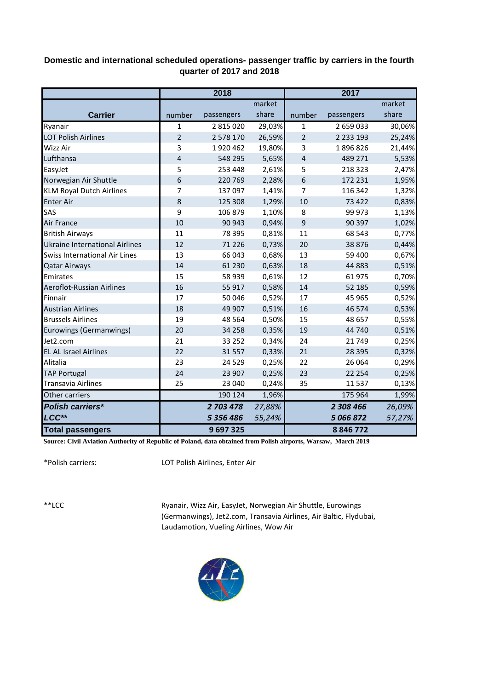## **Domestic and international scheduled operations- passenger traffic by carriers in the fourth quarter of 2017 and 2018**

|                                      | 2018           |            |        | 2017           |               |        |
|--------------------------------------|----------------|------------|--------|----------------|---------------|--------|
|                                      |                |            | market |                |               | market |
| <b>Carrier</b>                       | number         | passengers | share  | number         | passengers    | share  |
| Ryanair                              | 1              | 2 815 020  | 29,03% | $\mathbf{1}$   | 2 659 033     | 30,06% |
| <b>LOT Polish Airlines</b>           | $\overline{2}$ | 2 578 170  | 26,59% | $\overline{2}$ | 2 2 3 1 9 3   | 25,24% |
| Wizz Air                             | 3              | 1920462    | 19,80% | 3              | 1896826       | 21,44% |
| Lufthansa                            | 4              | 548 295    | 5,65%  | $\overline{4}$ | 489 271       | 5,53%  |
| EasyJet                              | 5              | 253 448    | 2,61%  | 5              | 218 323       | 2,47%  |
| Norwegian Air Shuttle                | 6              | 220 769    | 2,28%  | 6              | 172 231       | 1,95%  |
| <b>KLM Royal Dutch Airlines</b>      | 7              | 137 097    | 1,41%  | 7              | 116 342       | 1,32%  |
| <b>Enter Air</b>                     | 8              | 125 308    | 1,29%  | 10             | 73 422        | 0,83%  |
| SAS                                  | 9              | 106 879    | 1,10%  | 8              | 99 973        | 1,13%  |
| Air France                           | 10             | 90 943     | 0,94%  | 9              | 90 397        | 1,02%  |
| <b>British Airways</b>               | 11             | 78 395     | 0,81%  | 11             | 68 543        | 0,77%  |
| Ukraine International Airlines       | 12             | 71 2 2 6   | 0,73%  | 20             | 38 8 76       | 0,44%  |
| <b>Swiss International Air Lines</b> | 13             | 66 043     | 0,68%  | 13             | 59 400        | 0,67%  |
| <b>Qatar Airways</b>                 | 14             | 61 2 30    | 0,63%  | 18             | 44 8 83       | 0,51%  |
| Emirates                             | 15             | 58 939     | 0,61%  | 12             | 61975         | 0,70%  |
| Aeroflot-Russian Airlines            | 16             | 55 917     | 0,58%  | 14             | 52 185        | 0,59%  |
| Finnair                              | 17             | 50 046     | 0,52%  | 17             | 45 965        | 0,52%  |
| <b>Austrian Airlines</b>             | 18             | 49 907     | 0,51%  | 16             | 46 574        | 0,53%  |
| <b>Brussels Airlines</b>             | 19             | 48 5 64    | 0,50%  | 15             | 48 657        | 0,55%  |
| Eurowings (Germanwings)              | 20             | 34 258     | 0,35%  | 19             | 44 740        | 0,51%  |
| Jet2.com                             | 21             | 33 25 2    | 0,34%  | 24             | 21749         | 0,25%  |
| <b>EL AL Israel Airlines</b>         | 22             | 31 5 5 7   | 0,33%  | 21             | 28 3 9 5      | 0,32%  |
| Alitalia                             | 23             | 24 5 29    | 0,25%  | 22             | 26 064        | 0,29%  |
| <b>TAP Portugal</b>                  | 24             | 23 907     | 0,25%  | 23             | 22 2 54       | 0,25%  |
| <b>Transavia Airlines</b>            | 25             | 23 040     | 0,24%  | 35             | 11 5 3 7      | 0,13%  |
| Other carriers                       |                | 190 124    | 1,96%  |                | 175 964       | 1,99%  |
| <b>Polish carriers*</b>              |                | 2 703 478  | 27,88% |                | 2 308 466     | 26,09% |
| LCC**                                |                | 5 356 486  | 55,24% |                | 5 066 872     | 57,27% |
| <b>Total passengers</b>              |                | 9697325    |        |                | 8 8 4 6 7 7 2 |        |

**Source: Civil Aviation Authority of Republic of Poland, data obtained from Polish airports, Warsaw, March 2019**

\*Polish carriers:

LOT Polish Airlines, Enter Air

\*\*LCC

Ryanair, Wizz Air, EasyJet, Norwegian Air Shuttle, Eurowings (Germanwings), Jet2.com, Transavia Airlines, Air Baltic, Flydubai, Laudamotion, Vueling Airlines, Wow Air